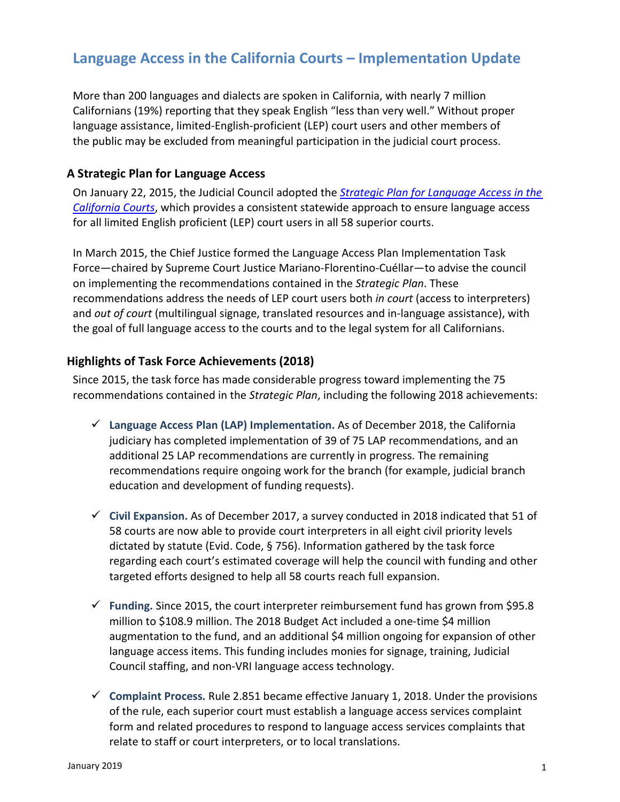# **Language Access in the California Courts – Implementation Update**

More than 200 languages and dialects are spoken in California, with nearly 7 million Californians (19%) reporting that they speak English "less than very well." Without proper language assistance, limited-English-proficient (LEP) court users and other members of the public may be excluded from meaningful participation in the judicial court process.

### **A Strategic Plan for Language Access**

On January 22, 2015, the Judicial Council adopted the *[Strategic Plan for Language Access in the](http://www.courts.ca.gov/documents/CLASP_report_060514.pdf) [California Courts](http://www.courts.ca.gov/documents/CLASP_report_060514.pdf)*, which provides a consistent statewide approach to ensure language access for all limited English proficient (LEP) court users in all 58 superior courts.

In March 2015, the Chief Justice formed the Language Access Plan Implementation Task Force—chaired by Supreme Court Justice Mariano-Florentino-Cuéllar—to advise the council on implementing the recommendations contained in the *Strategic Plan*. These recommendations address the needs of LEP court users both *in court* (access to interpreters) and *out of court* (multilingual signage, translated resources and in-language assistance), with the goal of full language access to the courts and to the legal system for all Californians.

#### **Highlights of Task Force Achievements (2018)**

Since 2015, the task force has made considerable progress toward implementing the 75 recommendations contained in the *Strategic Plan*, including the following 2018 achievements:

- **Language Access Plan (LAP) Implementation.** As of December 2018, the California judiciary has completed implementation of 39 of 75 LAP recommendations, and an additional 25 LAP recommendations are currently in progress. The remaining recommendations require ongoing work for the branch (for example, judicial branch education and development of funding requests).
- **Civil Expansion.** As of December 2017, a survey conducted in 2018 indicated that 51 of 58 courts are now able to provide court interpreters in all eight civil priority levels dictated by statute (Evid. Code, § 756). Information gathered by the task force regarding each court's estimated coverage will help the council with funding and other targeted efforts designed to help all 58 courts reach full expansion.
- **Funding.** Since 2015, the court interpreter reimbursement fund has grown from \$95.8 million to \$108.9 million. The 2018 Budget Act included a one-time \$4 million augmentation to the fund, and an additional \$4 million ongoing for expansion of other language access items. This funding includes monies for signage, training, Judicial Council staffing, and non-VRI language access technology.
- $\checkmark$  Complaint Process. Rule 2.851 became effective January 1, 2018. Under the provisions of the rule, each superior court must establish a language access services complaint form and related procedures to respond to language access services complaints that relate to staff or court interpreters, or to local translations.